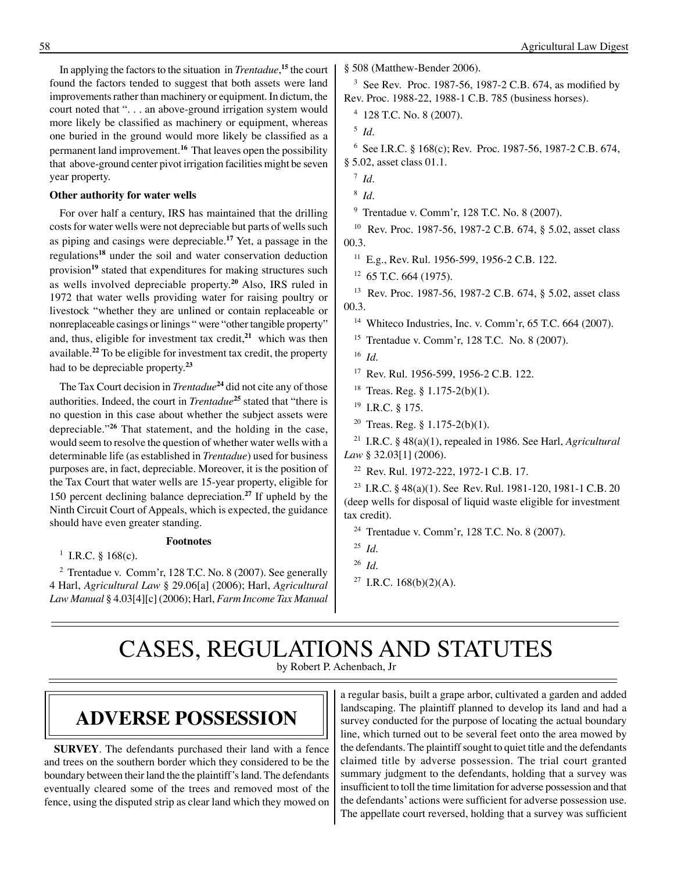In applying the factors to the situation in *Trentadue*, **<sup>15</sup>** the court found the factors tended to suggest that both assets were land improvements rather than machinery or equipment. In dictum, the court noted that ". . . an above-ground irrigation system would more likely be classified as machinery or equipment, whereas one buried in the ground would more likely be classified as a permanent land improvement.**<sup>16</sup>** That leaves open the possibility that above-ground center pivot irrigation facilities might be seven year property.

#### **Other authority for water wells**

For over half a century, IRS has maintained that the drilling costs for water wells were not depreciable but parts of wells such as piping and casings were depreciable.**<sup>17</sup>** Yet, a passage in the regulations**<sup>18</sup>** under the soil and water conservation deduction provision**<sup>19</sup>** stated that expenditures for making structures such as wells involved depreciable property.**<sup>20</sup>** Also, IRS ruled in 1972 that water wells providing water for raising poultry or livestock "whether they are unlined or contain replaceable or nonreplaceable casings or linings " were "other tangible property" and, thus, eligible for investment tax credit,**<sup>21</sup>** which was then available.**<sup>22</sup>** To be eligible for investment tax credit, the property had to be depreciable property.**<sup>23</sup>**

The Tax Court decision in *Trentadue***<sup>24</sup>** did not cite any of those authorities. Indeed, the court in *Trentadue***<sup>25</sup>** stated that "there is no question in this case about whether the subject assets were depreciable."**<sup>26</sup>** That statement, and the holding in the case, would seem to resolve the question of whether water wells with a determinable life (as established in *Trentadue*) used for business purposes are, in fact, depreciable. Moreover, it is the position of the Tax Court that water wells are 15-year property, eligible for 150 percent declining balance depreciation.**<sup>27</sup>** If upheld by the Ninth Circuit Court of Appeals, which is expected, the guidance should have even greater standing.

**Footnotes**

<sup>1</sup> I.R.C. § 168(c).

<sup>2</sup> Trentadue v. Comm'r, 128 T.C. No. 8 (2007). See generally 4 Harl, *Agricultural Law* § 29.06[a] (2006); Harl, *Agricultural Law Manual* § 4.03[4][c] (2006); Harl, *Farm Income Tax Manual*

§ 508 (Matthew-Bender 2006).

<sup>3</sup> See Rev. Proc. 1987-56, 1987-2 C.B. 674, as modified by Rev. Proc. 1988-22, 1988-1 C.B. 785 (business horses).

4 128 T.C. No. 8 (2007).

5 *Id*.

6 See I.R.C. § 168(c); Rev. Proc. 1987-56, 1987-2 C.B. 674, § 5.02, asset class 01.1.

7 *Id*.

9 Trentadue v. Comm'r, 128 T.C. No. 8 (2007).

<sup>10</sup> Rev. Proc. 1987-56, 1987-2 C.B. 674, § 5.02, asset class 00.3.

 $11$  E.g., Rev. Rul. 1956-599, 1956-2 C.B. 122.

 $12$  65 T.C. 664 (1975).

<sup>13</sup> Rev. Proc. 1987-56, 1987-2 C.B. 674, § 5.02, asset class 00.3.

<sup>14</sup> Whiteco Industries, Inc. v. Comm'r,  $65$  T.C.  $664$  (2007).

15 Trentadue v. Comm'r, 128 T.C. No. 8 (2007).

16 *Id*.

<sup>17</sup> Rev. Rul. 1956-599, 1956-2 C.B. 122.

<sup>18</sup> Treas. Reg. § 1.175-2(b)(1).

- 19 I.R.C. § 175.
- <sup>20</sup> Treas. Reg. §  $1.175-2(b)(1)$ .

<sup>21</sup> I.R.C. § 48(a)(1), repealed in 1986. See Harl, *Agricultural Law* § 32.03[1] (2006).

22 Rev. Rul. 1972-222, 1972-1 C.B. 17.

<sup>23</sup> I.R.C. § 48(a)(1). See Rev. Rul. 1981-120, 1981-1 C.B. 20 (deep wells for disposal of liquid waste eligible for investment tax credit).

<sup>24</sup> Trentadue v. Comm'r, 128 T.C. No. 8 (2007).

26 *Id*.

### CASES, REGULATIONS AND STATUTES by Robert P. Achenbach, Jr

# **Adverse possession**

**SURVEY**. The defendants purchased their land with a fence and trees on the southern border which they considered to be the boundary between their land the the plaintiff's land. The defendants eventually cleared some of the trees and removed most of the fence, using the disputed strip as clear land which they mowed on a regular basis, built a grape arbor, cultivated a garden and added landscaping. The plaintiff planned to develop its land and had a survey conducted for the purpose of locating the actual boundary line, which turned out to be several feet onto the area mowed by the defendants. The plaintiff sought to quiet title and the defendants claimed title by adverse possession. The trial court granted summary judgment to the defendants, holding that a survey was insufficient to toll the time limitation for adverse possession and that the defendants' actions were sufficient for adverse possession use. The appellate court reversed, holding that a survey was sufficient

<sup>8</sup> *Id*.

<sup>25</sup> *Id*.

<sup>&</sup>lt;sup>27</sup> I.R.C. 168(b)(2)(A).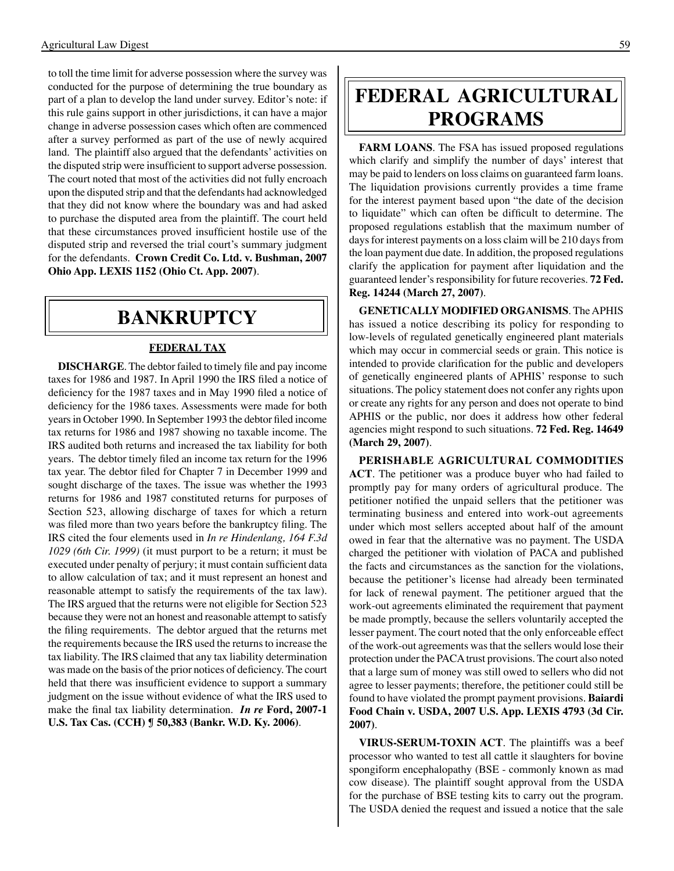to toll the time limit for adverse possession where the survey was conducted for the purpose of determining the true boundary as part of a plan to develop the land under survey. Editor's note: if this rule gains support in other jurisdictions, it can have a major change in adverse possession cases which often are commenced after a survey performed as part of the use of newly acquired land. The plaintiff also argued that the defendants' activities on the disputed strip were insufficient to support adverse possession. The court noted that most of the activities did not fully encroach upon the disputed strip and that the defendants had acknowledged that they did not know where the boundary was and had asked to purchase the disputed area from the plaintiff. The court held that these circumstances proved insufficient hostile use of the disputed strip and reversed the trial court's summary judgment for the defendants. **Crown Credit Co. Ltd. v. Bushman, 2007 Ohio App. LEXIS 1152 (Ohio Ct. App. 2007)**.

## **bankruptcy**

#### **FEDERAL TAX**

**DISCHARGE**. The debtor failed to timely file and pay income taxes for 1986 and 1987. In April 1990 the IRS filed a notice of deficiency for the 1987 taxes and in May 1990 filed a notice of deficiency for the 1986 taxes. Assessments were made for both years in October 1990. In September 1993 the debtor filed income tax returns for 1986 and 1987 showing no taxable income. The IRS audited both returns and increased the tax liability for both years. The debtor timely filed an income tax return for the 1996 tax year. The debtor filed for Chapter 7 in December 1999 and sought discharge of the taxes. The issue was whether the 1993 returns for 1986 and 1987 constituted returns for purposes of Section 523, allowing discharge of taxes for which a return was filed more than two years before the bankruptcy filing. The IRS cited the four elements used in *In re Hindenlang, 164 F.3d 1029 (6th Cir. 1999)* (it must purport to be a return; it must be executed under penalty of perjury; it must contain sufficient data to allow calculation of tax; and it must represent an honest and reasonable attempt to satisfy the requirements of the tax law). The IRS argued that the returns were not eligible for Section 523 because they were not an honest and reasonable attempt to satisfy the filing requirements. The debtor argued that the returns met the requirements because the IRS used the returns to increase the tax liability. The IRS claimed that any tax liability determination was made on the basis of the prior notices of deficiency. The court held that there was insufficient evidence to support a summary judgment on the issue without evidence of what the IRS used to make the final tax liability determination. *In re* **Ford, 2007-1 U.S. Tax Cas. (CCH) ¶ 50,383 (Bankr. W.D. Ky. 2006)**.

# **federal agricultural programs**

**FARM LOANS**. The FSA has issued proposed regulations which clarify and simplify the number of days' interest that may be paid to lenders on loss claims on guaranteed farm loans. The liquidation provisions currently provides a time frame for the interest payment based upon "the date of the decision to liquidate" which can often be difficult to determine. The proposed regulations establish that the maximum number of days for interest payments on a loss claim will be 210 days from the loan payment due date. In addition, the proposed regulations clarify the application for payment after liquidation and the guaranteed lender's responsibility for future recoveries. **72 Fed. Reg. 14244 (March 27, 2007)**.

**GENETICALLY MODIFIED ORGANISMS**. The APHIS has issued a notice describing its policy for responding to low-levels of regulated genetically engineered plant materials which may occur in commercial seeds or grain. This notice is intended to provide clarification for the public and developers of genetically engineered plants of APHIS' response to such situations. The policy statement does not confer any rights upon or create any rights for any person and does not operate to bind APHIS or the public, nor does it address how other federal agencies might respond to such situations. **72 Fed. Reg. 14649 (March 29, 2007)**.

**PERISHABLE AGRICULTURAL COMMODITIES ACT**. The petitioner was a produce buyer who had failed to promptly pay for many orders of agricultural produce. The petitioner notified the unpaid sellers that the petitioner was terminating business and entered into work-out agreements under which most sellers accepted about half of the amount owed in fear that the alternative was no payment. The USDA charged the petitioner with violation of PACA and published the facts and circumstances as the sanction for the violations, because the petitioner's license had already been terminated for lack of renewal payment. The petitioner argued that the work-out agreements eliminated the requirement that payment be made promptly, because the sellers voluntarily accepted the lesser payment. The court noted that the only enforceable effect of the work-out agreements was that the sellers would lose their protection under the PACA trust provisions. The court also noted that a large sum of money was still owed to sellers who did not agree to lesser payments; therefore, the petitioner could still be found to have violated the prompt payment provisions. **Baiardi Food Chain v. USDA, 2007 U.S. App. LEXIS 4793 (3d Cir. 2007)**.

**VIRUS-SERUM-TOXIN ACT**. The plaintiffs was a beef processor who wanted to test all cattle it slaughters for bovine spongiform encephalopathy (BSE - commonly known as mad cow disease). The plaintiff sought approval from the USDA for the purchase of BSE testing kits to carry out the program. The USDA denied the request and issued a notice that the sale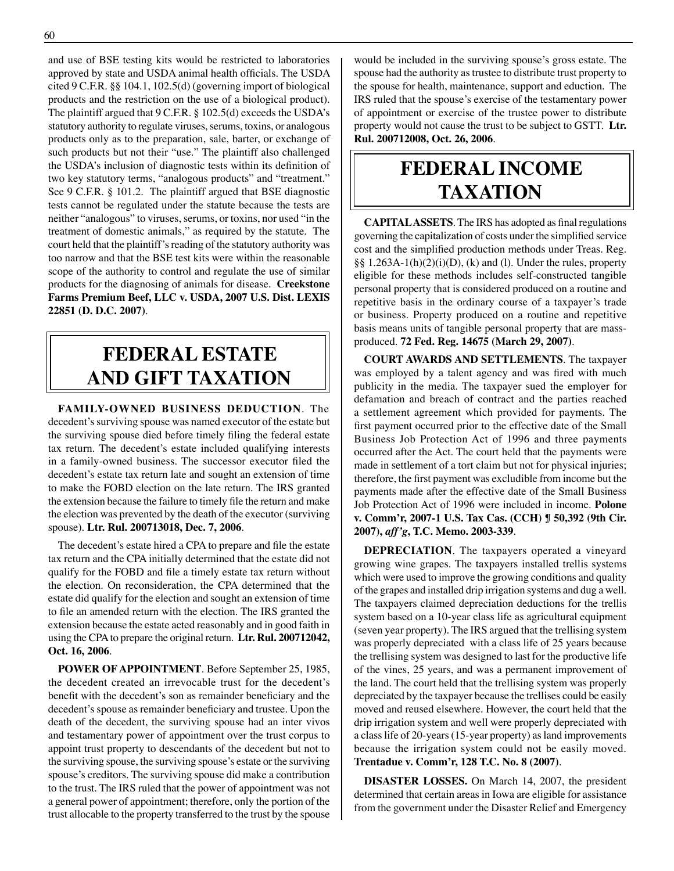and use of BSE testing kits would be restricted to laboratories approved by state and USDA animal health officials. The USDA cited 9 C.F.R. §§ 104.1, 102.5(d) (governing import of biological products and the restriction on the use of a biological product). The plaintiff argued that 9 C.F.R. § 102.5(d) exceeds the USDA's statutory authority to regulate viruses, serums, toxins, or analogous products only as to the preparation, sale, barter, or exchange of such products but not their "use." The plaintiff also challenged the USDA's inclusion of diagnostic tests within its definition of two key statutory terms, "analogous products" and "treatment." See 9 C.F.R. § 101.2. The plaintiff argued that BSE diagnostic tests cannot be regulated under the statute because the tests are neither "analogous" to viruses, serums, or toxins, nor used "in the treatment of domestic animals," as required by the statute. The court held that the plaintiff's reading of the statutory authority was too narrow and that the BSE test kits were within the reasonable scope of the authority to control and regulate the use of similar products for the diagnosing of animals for disease. **Creekstone Farms Premium Beef, LLC v. USDA, 2007 U.S. Dist. LEXIS 22851 (D. D.C. 2007)**.

# **federal ESTATE AND GIFT taxation**

**FAMILY-OWNED BUSINESS DEDUCTION**. The decedent's surviving spouse was named executor of the estate but the surviving spouse died before timely filing the federal estate tax return. The decedent's estate included qualifying interests in a family-owned business. The successor executor filed the decedent's estate tax return late and sought an extension of time to make the FOBD election on the late return. The IRS granted the extension because the failure to timely file the return and make the election was prevented by the death of the executor (surviving spouse). **Ltr. Rul. 200713018, Dec. 7, 2006**.

 The decedent's estate hired a CPA to prepare and file the estate tax return and the CPA initially determined that the estate did not qualify for the FOBD and file a timely estate tax return without the election. On reconsideration, the CPA determined that the estate did qualify for the election and sought an extension of time to file an amended return with the election. The IRS granted the extension because the estate acted reasonably and in good faith in using the CPA to prepare the original return. **Ltr. Rul. 200712042, Oct. 16, 2006**.

**POWER OF APPOINTMENT**. Before September 25, 1985, the decedent created an irrevocable trust for the decedent's benefit with the decedent's son as remainder beneficiary and the decedent's spouse as remainder beneficiary and trustee. Upon the death of the decedent, the surviving spouse had an inter vivos and testamentary power of appointment over the trust corpus to appoint trust property to descendants of the decedent but not to the surviving spouse, the surviving spouse's estate or the surviving spouse's creditors. The surviving spouse did make a contribution to the trust. The IRS ruled that the power of appointment was not a general power of appointment; therefore, only the portion of the trust allocable to the property transferred to the trust by the spouse would be included in the surviving spouse's gross estate. The spouse had the authority as trustee to distribute trust property to the spouse for health, maintenance, support and eduction. The IRS ruled that the spouse's exercise of the testamentary power of appointment or exercise of the trustee power to distribute property would not cause the trust to be subject to GSTT. **Ltr. Rul. 200712008, Oct. 26, 2006**.

# **federal income taxation**

**CAPITAL ASSETS**. The IRS has adopted as final regulations governing the capitalization of costs under the simplified service cost and the simplified production methods under Treas. Reg.  $\S\S 1.263A-1(h)(2)(i)(D)$ , (k) and (l). Under the rules, property eligible for these methods includes self-constructed tangible personal property that is considered produced on a routine and repetitive basis in the ordinary course of a taxpayer's trade or business. Property produced on a routine and repetitive basis means units of tangible personal property that are massproduced. **72 Fed. Reg. 14675 (March 29, 2007)**.

**COURT AWARDS AND SETTLEMENTS**. The taxpayer was employed by a talent agency and was fired with much publicity in the media. The taxpayer sued the employer for defamation and breach of contract and the parties reached a settlement agreement which provided for payments. The first payment occurred prior to the effective date of the Small Business Job Protection Act of 1996 and three payments occurred after the Act. The court held that the payments were made in settlement of a tort claim but not for physical injuries; therefore, the first payment was excludible from income but the payments made after the effective date of the Small Business Job Protection Act of 1996 were included in income. **Polone v. Comm'r, 2007-1 U.S. Tax Cas. (CCH) ¶ 50,392 (9th Cir. 2007),** *aff'g***, T.C. Memo. 2003-339**.

**DEPRECIATION**. The taxpayers operated a vineyard growing wine grapes. The taxpayers installed trellis systems which were used to improve the growing conditions and quality of the grapes and installed drip irrigation systems and dug a well. The taxpayers claimed depreciation deductions for the trellis system based on a 10-year class life as agricultural equipment (seven year property). The IRS argued that the trellising system was properly depreciated with a class life of 25 years because the trellising system was designed to last for the productive life of the vines, 25 years, and was a permanent improvement of the land. The court held that the trellising system was properly depreciated by the taxpayer because the trellises could be easily moved and reused elsewhere. However, the court held that the drip irrigation system and well were properly depreciated with a class life of 20-years (15-year property) as land improvements because the irrigation system could not be easily moved. **Trentadue v. Comm'r, 128 T.C. No. 8 (2007)**.

**DISASTER LOSSES.** On March 14, 2007, the president determined that certain areas in Iowa are eligible for assistance from the government under the Disaster Relief and Emergency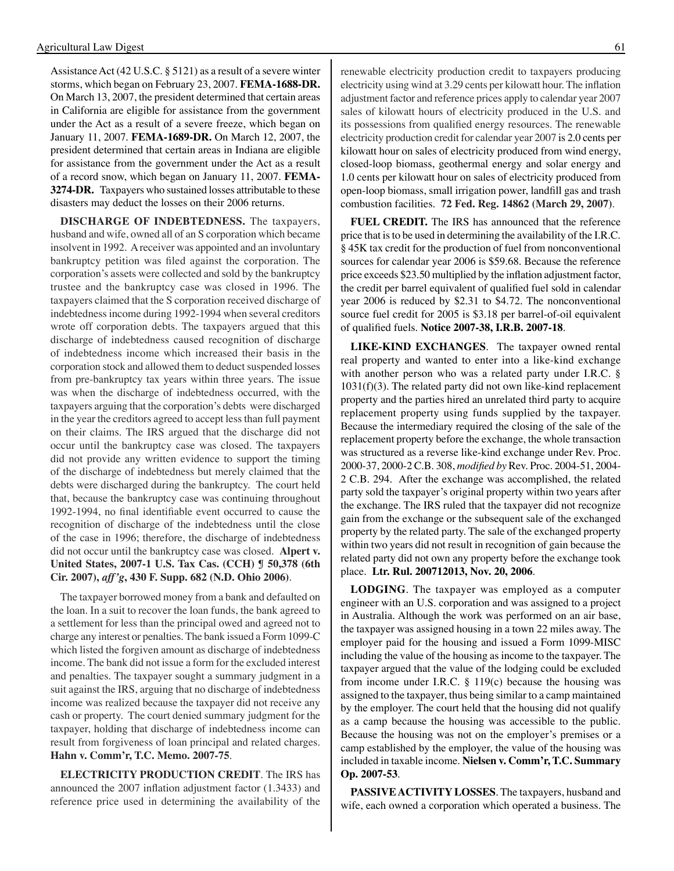AssistanceAct (42 U.S.C. § 5121) as a result of a severe winter storms, which began on February 23, 2007. **FEMA-1688-DR.**  On March 13, 2007, the president determined that certain areas in California are eligible for assistance from the government under the Act as a result of a severe freeze, which began on January 11, 2007. **FEMA-1689-DR.** On March 12, 2007, the president determined that certain areas in Indiana are eligible for assistance from the government under the Act as a result of a record snow, which began on January 11, 2007. **FEMA-3274-DR.** Taxpayers who sustained losses attributable to these disasters may deduct the losses on their 2006 returns.

**DISCHARGE OF INDEBTEDNESS.** The taxpayers, husband and wife, owned all of an S corporation which became insolvent in 1992. A receiver was appointed and an involuntary bankruptcy petition was filed against the corporation. The corporation's assets were collected and sold by the bankruptcy trustee and the bankruptcy case was closed in 1996. The taxpayers claimed that the S corporation received discharge of indebtedness income during 1992-1994 when several creditors wrote off corporation debts. The taxpayers argued that this discharge of indebtedness caused recognition of discharge of indebtedness income which increased their basis in the corporation stock and allowed them to deduct suspended losses from pre-bankruptcy tax years within three years. The issue was when the discharge of indebtedness occurred, with the taxpayers arguing that the corporation's debts were discharged in the year the creditors agreed to accept less than full payment on their claims. The IRS argued that the discharge did not occur until the bankruptcy case was closed. The taxpayers did not provide any written evidence to support the timing of the discharge of indebtedness but merely claimed that the debts were discharged during the bankruptcy. The court held that, because the bankruptcy case was continuing throughout 1992-1994, no final identifiable event occurred to cause the recognition of discharge of the indebtedness until the close of the case in 1996; therefore, the discharge of indebtedness did not occur until the bankruptcy case was closed. **Alpert v. United States, 2007-1 U.S. Tax Cas. (CCH) ¶ 50,378 (6th Cir. 2007),** *aff'g***, 430 F. Supp. 682 (N.D. Ohio 2006)**.

The taxpayer borrowed money from a bank and defaulted on the loan. In a suit to recover the loan funds, the bank agreed to a settlement for less than the principal owed and agreed not to charge any interest or penalties. The bank issued a Form 1099-C which listed the forgiven amount as discharge of indebtedness income. The bank did not issue a form for the excluded interest and penalties. The taxpayer sought a summary judgment in a suit against the IRS, arguing that no discharge of indebtedness income was realized because the taxpayer did not receive any cash or property. The court denied summary judgment for the taxpayer, holding that discharge of indebtedness income can result from forgiveness of loan principal and related charges. **Hahn v. Comm'r, T.C. Memo. 2007-75**.

**ELECTRICITY PRODUCTION CREDIT**. The IRS has announced the 2007 inflation adjustment factor (1.3433) and reference price used in determining the availability of the renewable electricity production credit to taxpayers producing electricity using wind at 3.29 cents per kilowatt hour. The inflation adjustment factor and reference prices apply to calendar year 2007 sales of kilowatt hours of electricity produced in the U.S. and its possessions from qualified energy resources. The renewable electricity production credit for calendar year 2007 is 2.0 cents per kilowatt hour on sales of electricity produced from wind energy, closed-loop biomass, geothermal energy and solar energy and 1.0 cents per kilowatt hour on sales of electricity produced from open-loop biomass, small irrigation power, landfill gas and trash combustion facilities. **72 Fed. Reg. 14862 (March 29, 2007)**.

**FUEL CREDIT.** The IRS has announced that the reference price that is to be used in determining the availability of the I.R.C. § 45K tax credit for the production of fuel from nonconventional sources for calendar year 2006 is \$59.68. Because the reference price exceeds \$23.50 multiplied by the inflation adjustment factor, the credit per barrel equivalent of qualified fuel sold in calendar year 2006 is reduced by \$2.31 to \$4.72. The nonconventional source fuel credit for 2005 is \$3.18 per barrel-of-oil equivalent of qualified fuels. **Notice 2007-38, I.R.B. 2007-18**.

**LIKE-KIND EXCHANGES**. The taxpayer owned rental real property and wanted to enter into a like-kind exchange with another person who was a related party under I.R.C. § 1031(f)(3). The related party did not own like-kind replacement property and the parties hired an unrelated third party to acquire replacement property using funds supplied by the taxpayer. Because the intermediary required the closing of the sale of the replacement property before the exchange, the whole transaction was structured as a reverse like-kind exchange under Rev. Proc. 2000-37, 2000-2 C.B. 308, *modified by* Rev. Proc. 2004-51, 2004- 2 C.B. 294. After the exchange was accomplished, the related party sold the taxpayer's original property within two years after the exchange. The IRS ruled that the taxpayer did not recognize gain from the exchange or the subsequent sale of the exchanged property by the related party. The sale of the exchanged property within two years did not result in recognition of gain because the related party did not own any property before the exchange took place. **Ltr. Rul. 200712013, Nov. 20, 2006**.

**LODGING**. The taxpayer was employed as a computer engineer with an U.S. corporation and was assigned to a project in Australia. Although the work was performed on an air base, the taxpayer was assigned housing in a town 22 miles away. The employer paid for the housing and issued a Form 1099-MISC including the value of the housing as income to the taxpayer. The taxpayer argued that the value of the lodging could be excluded from income under I.R.C.  $\S$  119(c) because the housing was assigned to the taxpayer, thus being similar to a camp maintained by the employer. The court held that the housing did not qualify as a camp because the housing was accessible to the public. Because the housing was not on the employer's premises or a camp established by the employer, the value of the housing was included in taxable income. **Nielsen v. Comm'r, T.C. Summary Op. 2007-53**.

**PASSIVE ACTIVITY LOSSES**. The taxpayers, husband and wife, each owned a corporation which operated a business. The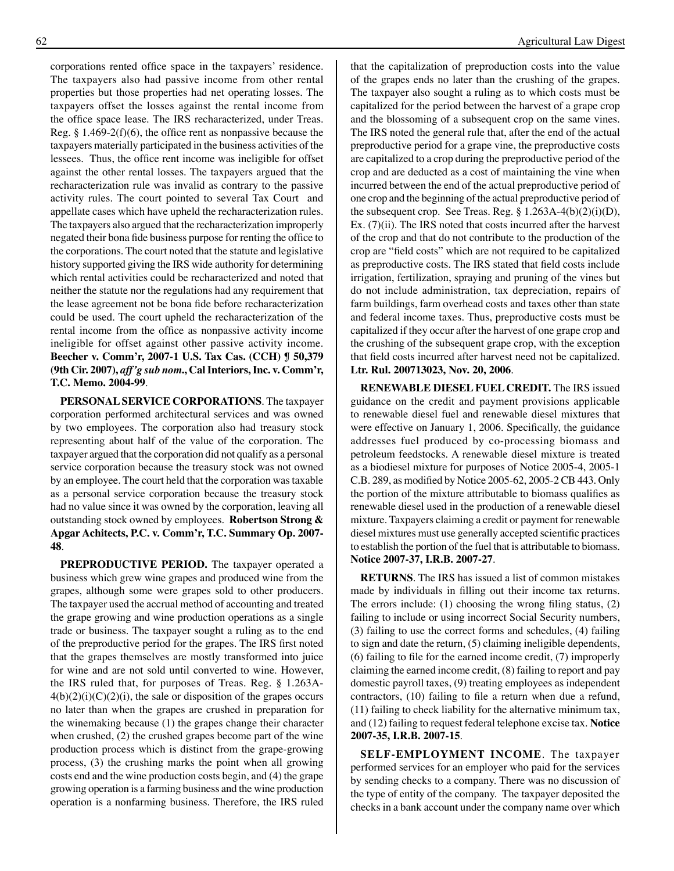corporations rented office space in the taxpayers' residence. The taxpayers also had passive income from other rental properties but those properties had net operating losses. The taxpayers offset the losses against the rental income from the office space lease. The IRS recharacterized, under Treas. Reg.  $\S 1.469-2(f)(6)$ , the office rent as nonpassive because the taxpayers materially participated in the business activities of the lessees. Thus, the office rent income was ineligible for offset against the other rental losses. The taxpayers argued that the recharacterization rule was invalid as contrary to the passive activity rules. The court pointed to several Tax Court and appellate cases which have upheld the recharacterization rules. The taxpayers also argued that the recharacterization improperly negated their bona fide business purpose for renting the office to the corporations. The court noted that the statute and legislative history supported giving the IRS wide authority for determining which rental activities could be recharacterized and noted that neither the statute nor the regulations had any requirement that the lease agreement not be bona fide before recharacterization could be used. The court upheld the recharacterization of the rental income from the office as nonpassive activity income ineligible for offset against other passive activity income. **Beecher v. Comm'r, 2007-1 U.S. Tax Cas. (CCH) ¶ 50,379 (9th Cir. 2007),** *aff'g sub nom***., Cal Interiors, Inc. v. Comm'r, T.C. Memo. 2004-99**.

**PERSONAL SERVICE CORPORATIONS**. The taxpayer corporation performed architectural services and was owned by two employees. The corporation also had treasury stock representing about half of the value of the corporation. The taxpayer argued that the corporation did not qualify as a personal service corporation because the treasury stock was not owned by an employee. The court held that the corporation was taxable as a personal service corporation because the treasury stock had no value since it was owned by the corporation, leaving all outstanding stock owned by employees. **Robertson Strong & Apgar Achitects, P.C. v. Comm'r, T.C. Summary Op. 2007- 48**.

**PREPRODUCTIVE PERIOD.** The taxpayer operated a business which grew wine grapes and produced wine from the grapes, although some were grapes sold to other producers. The taxpayer used the accrual method of accounting and treated the grape growing and wine production operations as a single trade or business. The taxpayer sought a ruling as to the end of the preproductive period for the grapes. The IRS first noted that the grapes themselves are mostly transformed into juice for wine and are not sold until converted to wine. However, the IRS ruled that, for purposes of Treas. Reg. § 1.263A- $4(b)(2)(i)(C)(2)(i)$ , the sale or disposition of the grapes occurs no later than when the grapes are crushed in preparation for the winemaking because (1) the grapes change their character when crushed, (2) the crushed grapes become part of the wine production process which is distinct from the grape-growing process, (3) the crushing marks the point when all growing costs end and the wine production costs begin, and (4) the grape growing operation is a farming business and the wine production operation is a nonfarming business. Therefore, the IRS ruled that the capitalization of preproduction costs into the value of the grapes ends no later than the crushing of the grapes. The taxpayer also sought a ruling as to which costs must be capitalized for the period between the harvest of a grape crop and the blossoming of a subsequent crop on the same vines. The IRS noted the general rule that, after the end of the actual preproductive period for a grape vine, the preproductive costs are capitalized to a crop during the preproductive period of the crop and are deducted as a cost of maintaining the vine when incurred between the end of the actual preproductive period of one crop and the beginning of the actual preproductive period of the subsequent crop. See Treas. Reg. § 1.263A-4(b)(2)(i)(D), Ex. (7)(ii). The IRS noted that costs incurred after the harvest of the crop and that do not contribute to the production of the crop are "field costs" which are not required to be capitalized as preproductive costs. The IRS stated that field costs include irrigation, fertilization, spraying and pruning of the vines but do not include administration, tax depreciation, repairs of farm buildings, farm overhead costs and taxes other than state and federal income taxes. Thus, preproductive costs must be capitalized if they occur after the harvest of one grape crop and the crushing of the subsequent grape crop, with the exception that field costs incurred after harvest need not be capitalized. **Ltr. Rul. 200713023, Nov. 20, 2006**.

**RENEWABLE DIESEL FUEL CREDIT.** The IRS issued guidance on the credit and payment provisions applicable to renewable diesel fuel and renewable diesel mixtures that were effective on January 1, 2006. Specifically, the guidance addresses fuel produced by co-processing biomass and petroleum feedstocks. A renewable diesel mixture is treated as a biodiesel mixture for purposes of Notice 2005-4, 2005-1 C.B. 289, as modified by Notice 2005-62, 2005-2 CB 443. Only the portion of the mixture attributable to biomass qualifies as renewable diesel used in the production of a renewable diesel mixture. Taxpayers claiming a credit or payment for renewable diesel mixtures must use generally accepted scientific practices to establish the portion of the fuel that is attributable to biomass. **Notice 2007-37, I.R.B. 2007-27**.

 **RETURNS**. The IRS has issued a list of common mistakes made by individuals in filling out their income tax returns. The errors include: (1) choosing the wrong filing status, (2) failing to include or using incorrect Social Security numbers, (3) failing to use the correct forms and schedules, (4) failing to sign and date the return, (5) claiming ineligible dependents, (6) failing to file for the earned income credit, (7) improperly claiming the earned income credit, (8) failing to report and pay domestic payroll taxes, (9) treating employees as independent contractors, (10) failing to file a return when due a refund, (11) failing to check liability for the alternative minimum tax, and (12) failing to request federal telephone excise tax. **Notice 2007-35, I.R.B. 2007-15**.

**SELF-EMPLOYMENT INCOME**. The taxpayer performed services for an employer who paid for the services by sending checks to a company. There was no discussion of the type of entity of the company. The taxpayer deposited the checks in a bank account under the company name over which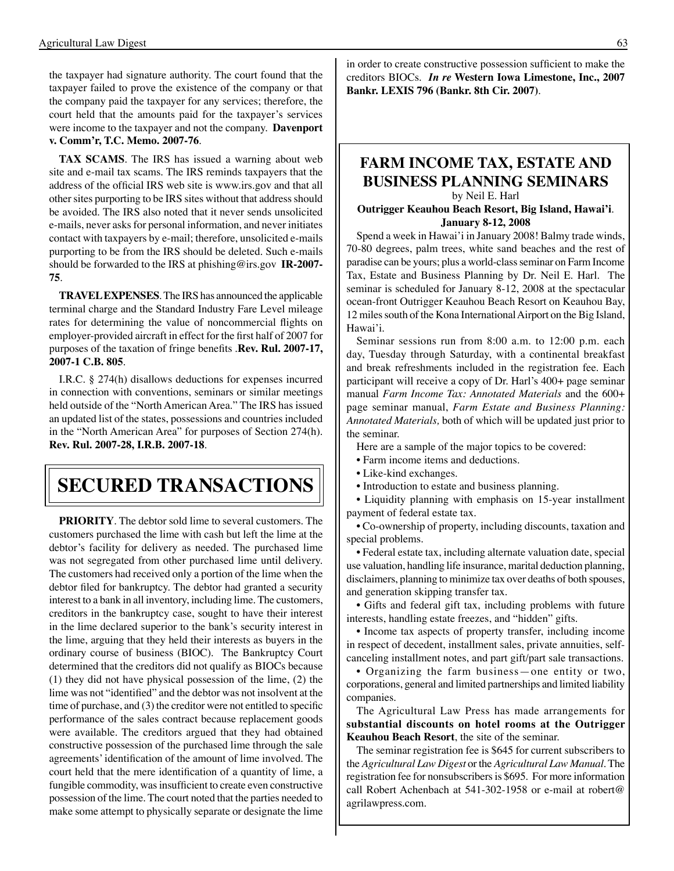the taxpayer had signature authority. The court found that the taxpayer failed to prove the existence of the company or that the company paid the taxpayer for any services; therefore, the court held that the amounts paid for the taxpayer's services were income to the taxpayer and not the company. **Davenport v. Comm'r, T.C. Memo. 2007-76**.

**TAX SCAMS**. The IRS has issued a warning about web site and e-mail tax scams. The IRS reminds taxpayers that the address of the official IRS web site is www.irs.gov and that all other sites purporting to be IRS sites without that address should be avoided. The IRS also noted that it never sends unsolicited e-mails, never asks for personal information, and never initiates contact with taxpayers by e-mail; therefore, unsolicited e-mails purporting to be from the IRS should be deleted. Such e-mails should be forwarded to the IRS at phishing@irs.gov **IR-2007- 75**.

**TRAVEL EXPENSES**. The IRS has announced the applicable terminal charge and the Standard Industry Fare Level mileage rates for determining the value of noncommercial flights on employer-provided aircraft in effect for the first half of 2007 for purposes of the taxation of fringe benefits .**Rev. Rul. 2007-17, 2007-1 C.B. 805**.

 I.R.C. § 274(h) disallows deductions for expenses incurred in connection with conventions, seminars or similar meetings held outside of the "North American Area." The IRS has issued an updated list of the states, possessions and countries included in the "North American Area" for purposes of Section 274(h). **Rev. Rul. 2007-28, I.R.B. 2007-18**.

# **Secured transactions**

**PRIORITY**. The debtor sold lime to several customers. The customers purchased the lime with cash but left the lime at the debtor's facility for delivery as needed. The purchased lime was not segregated from other purchased lime until delivery. The customers had received only a portion of the lime when the debtor filed for bankruptcy. The debtor had granted a security interest to a bank in all inventory, including lime. The customers, creditors in the bankruptcy case, sought to have their interest in the lime declared superior to the bank's security interest in the lime, arguing that they held their interests as buyers in the ordinary course of business (BIOC). The Bankruptcy Court determined that the creditors did not qualify as BIOCs because (1) they did not have physical possession of the lime, (2) the lime was not "identified" and the debtor was not insolvent at the time of purchase, and (3) the creditor were not entitled to specific performance of the sales contract because replacement goods were available. The creditors argued that they had obtained constructive possession of the purchased lime through the sale agreements'identification of the amount of lime involved. The court held that the mere identification of a quantity of lime, a fungible commodity, was insufficient to create even constructive possession of the lime. The court noted that the parties needed to make some attempt to physically separate or designate the lime in order to create constructive possession sufficient to make the creditors BIOCs. *In re* **Western Iowa Limestone, Inc., 2007 Bankr. LEXIS 796 (Bankr. 8th Cir. 2007)**.

#### **FARM INCOME TAX, ESTATE AND BUSINESS PLANNING SEMINARS** by Neil E. Harl

**Outrigger Keauhou Beach Resort, Big Island, Hawai'i**. **January 8-12, 2008**

Spend a week in Hawai'i in January 2008! Balmy trade winds, 70-80 degrees, palm trees, white sand beaches and the rest of paradise can be yours; plus a world-class seminar on Farm Income Tax, Estate and Business Planning by Dr. Neil E. Harl. The seminar is scheduled for January 8-12, 2008 at the spectacular ocean-front Outrigger Keauhou Beach Resort on Keauhou Bay, 12 miles south of the Kona International Airport on the Big Island, Hawai'i.

Seminar sessions run from 8:00 a.m. to 12:00 p.m. each day, Tuesday through Saturday, with a continental breakfast and break refreshments included in the registration fee. Each participant will receive a copy of Dr. Harl's 400+ page seminar manual *Farm Income Tax: Annotated Materials* and the 600+ page seminar manual, *Farm Estate and Business Planning: Annotated Materials,* both of which will be updated just prior to the seminar.

 Here are a sample of the major topics to be covered:

- Farm income items and deductions.
- Like-kind exchanges.
- Introduction to estate and business planning.

• Liquidity planning with emphasis on 15-year installment payment of federal estate tax.

• Co-ownership of property, including discounts, taxation and special problems.

• Federal estate tax, including alternate valuation date, special use valuation, handling life insurance, marital deduction planning, disclaimers, planning to minimize tax over deaths of both spouses, and generation skipping transfer tax.

• Gifts and federal gift tax, including problems with future interests, handling estate freezes, and "hidden" gifts.

• Income tax aspects of property transfer, including income in respect of decedent, installment sales, private annuities, selfcanceling installment notes, and part gift/part sale transactions.

• Organizing the farm business—one entity or two, corporations, general and limited partnerships and limited liability companies.

The Agricultural Law Press has made arrangements for **substantial discounts on hotel rooms at the Outrigger Keauhou Beach Resort**, the site of the seminar.

 The seminar registration fee is \$645 for current subscribers to the *Agricultural Law Digest* or the *Agricultural Law Manual*. The registration fee for nonsubscribers is \$695. For more information call Robert Achenbach at 541-302-1958 or e-mail at robert@ agrilawpress.com.